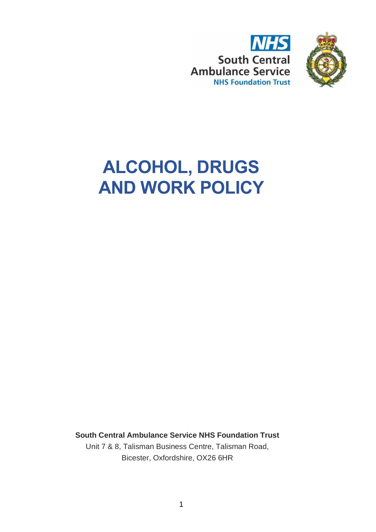



# **ALCOHOL, DRUGS AND WORK POLICY**

**South Central Ambulance Service NHS Foundation Trust**

Unit 7 & 8, Talisman Business Centre, Talisman Road, Bicester, Oxfordshire, OX26 6HR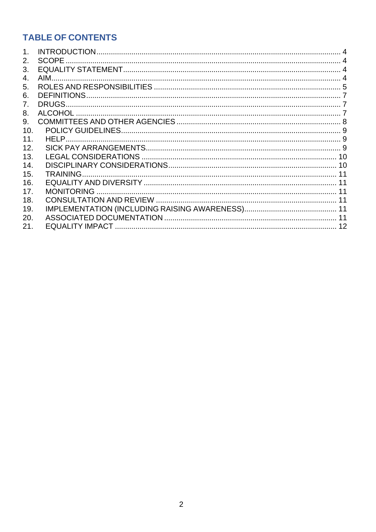# **TABLE OF CONTENTS**

| 1.  |  |
|-----|--|
| 2.  |  |
| 3.  |  |
| 4.  |  |
| 5.  |  |
| 6.  |  |
| 7.  |  |
| 8.  |  |
| 9.  |  |
| 10. |  |
| 11. |  |
| 12. |  |
| 13. |  |
| 14. |  |
| 15. |  |
| 16. |  |
| 17. |  |
| 18. |  |
| 19. |  |
| 20. |  |
| 21. |  |
|     |  |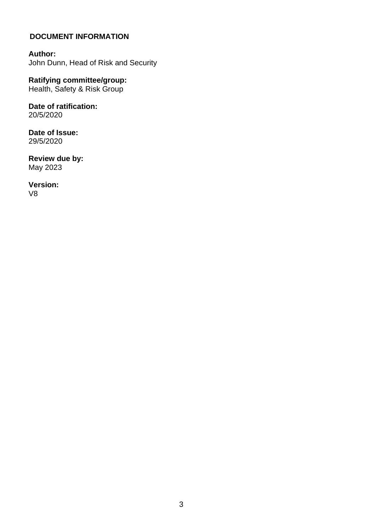#### **DOCUMENT INFORMATION**

**Author:**  John Dunn, Head of Risk and Security

**Ratifying committee/group:**  Health, Safety & Risk Group

**Date of ratification:**  20/5/2020

**Date of Issue:**  29/5/2020

**Review due by:**  May 2023

**Version:**  V8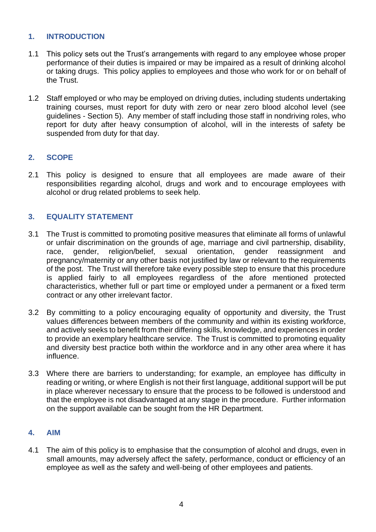#### <span id="page-3-0"></span>**1. INTRODUCTION**

- 1.1 This policy sets out the Trust's arrangements with regard to any employee whose proper performance of their duties is impaired or may be impaired as a result of drinking alcohol or taking drugs. This policy applies to employees and those who work for or on behalf of the Trust.
- 1.2 Staff employed or who may be employed on driving duties, including students undertaking training courses, must report for duty with zero or near zero blood alcohol level (see guidelines - Section 5). Any member of staff including those staff in nondriving roles, who report for duty after heavy consumption of alcohol, will in the interests of safety be suspended from duty for that day.

#### <span id="page-3-1"></span>**2. SCOPE**

2.1 This policy is designed to ensure that all employees are made aware of their responsibilities regarding alcohol, drugs and work and to encourage employees with alcohol or drug related problems to seek help.

# <span id="page-3-2"></span>**3. EQUALITY STATEMENT**

- 3.1 The Trust is committed to promoting positive measures that eliminate all forms of unlawful or unfair discrimination on the grounds of age, marriage and civil partnership, disability, race, gender, religion/belief, sexual orientation, gender reassignment and pregnancy/maternity or any other basis not justified by law or relevant to the requirements of the post. The Trust will therefore take every possible step to ensure that this procedure is applied fairly to all employees regardless of the afore mentioned protected characteristics, whether full or part time or employed under a permanent or a fixed term contract or any other irrelevant factor.
- 3.2 By committing to a policy encouraging equality of opportunity and diversity, the Trust values differences between members of the community and within its existing workforce, and actively seeks to benefit from their differing skills, knowledge, and experiences in order to provide an exemplary healthcare service. The Trust is committed to promoting equality and diversity best practice both within the workforce and in any other area where it has influence.
- 3.3 Where there are barriers to understanding; for example, an employee has difficulty in reading or writing, or where English is not their first language, additional support will be put in place wherever necessary to ensure that the process to be followed is understood and that the employee is not disadvantaged at any stage in the procedure. Further information on the support available can be sought from the HR Department.

#### <span id="page-3-3"></span>**4. AIM**

4.1 The aim of this policy is to emphasise that the consumption of alcohol and drugs, even in small amounts, may adversely affect the safety, performance, conduct or efficiency of an employee as well as the safety and well-being of other employees and patients.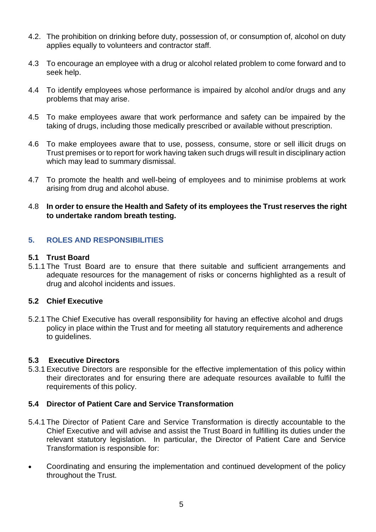- 4.2. The prohibition on drinking before duty, possession of, or consumption of, alcohol on duty applies equally to volunteers and contractor staff.
- 4.3 To encourage an employee with a drug or alcohol related problem to come forward and to seek help.
- 4.4 To identify employees whose performance is impaired by alcohol and/or drugs and any problems that may arise.
- 4.5 To make employees aware that work performance and safety can be impaired by the taking of drugs, including those medically prescribed or available without prescription.
- 4.6 To make employees aware that to use, possess, consume, store or sell illicit drugs on Trust premises or to report for work having taken such drugs will result in disciplinary action which may lead to summary dismissal.
- 4.7 To promote the health and well-being of employees and to minimise problems at work arising from drug and alcohol abuse.

#### 4.8 **In order to ensure the Health and Safety of its employees the Trust reserves the right to undertake random breath testing.**

#### <span id="page-4-0"></span>**5. ROLES AND RESPONSIBILITIES**

#### **5.1 Trust Board**

5.1.1 The Trust Board are to ensure that there suitable and sufficient arrangements and adequate resources for the management of risks or concerns highlighted as a result of drug and alcohol incidents and issues.

#### **5.2 Chief Executive**

5.2.1 The Chief Executive has overall responsibility for having an effective alcohol and drugs policy in place within the Trust and for meeting all statutory requirements and adherence to guidelines.

#### **5.3 Executive Directors**

5.3.1 Executive Directors are responsible for the effective implementation of this policy within their directorates and for ensuring there are adequate resources available to fulfil the requirements of this policy.

#### **5.4 Director of Patient Care and Service Transformation**

- 5.4.1 The Director of Patient Care and Service Transformation is directly accountable to the Chief Executive and will advise and assist the Trust Board in fulfilling its duties under the relevant statutory legislation. In particular, the Director of Patient Care and Service Transformation is responsible for:
- Coordinating and ensuring the implementation and continued development of the policy throughout the Trust.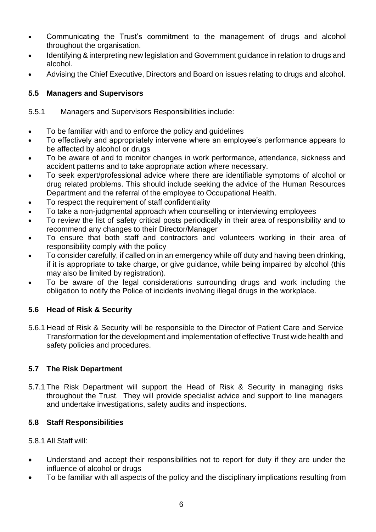- Communicating the Trust's commitment to the management of drugs and alcohol throughout the organisation.
- Identifying & interpreting new legislation and Government guidance in relation to drugs and alcohol.
- Advising the Chief Executive, Directors and Board on issues relating to drugs and alcohol.

# **5.5 Managers and Supervisors**

5.5.1 Managers and Supervisors Responsibilities include:

- To be familiar with and to enforce the policy and guidelines
- To effectively and appropriately intervene where an employee's performance appears to be affected by alcohol or drugs
- To be aware of and to monitor changes in work performance, attendance, sickness and accident patterns and to take appropriate action where necessary.
- To seek expert/professional advice where there are identifiable symptoms of alcohol or drug related problems. This should include seeking the advice of the Human Resources Department and the referral of the employee to Occupational Health.
- To respect the requirement of staff confidentiality
- To take a non-judgmental approach when counselling or interviewing employees
- To review the list of safety critical posts periodically in their area of responsibility and to recommend any changes to their Director/Manager
- To ensure that both staff and contractors and volunteers working in their area of responsibility comply with the policy
- To consider carefully, if called on in an emergency while off duty and having been drinking, if it is appropriate to take charge, or give guidance, while being impaired by alcohol (this may also be limited by registration).
- To be aware of the legal considerations surrounding drugs and work including the obligation to notify the Police of incidents involving illegal drugs in the workplace.

# **5.6 Head of Risk & Security**

5.6.1 Head of Risk & Security will be responsible to the Director of Patient Care and Service Transformation for the development and implementation of effective Trust wide health and safety policies and procedures.

# **5.7 The Risk Department**

5.7.1 The Risk Department will support the Head of Risk & Security in managing risks throughout the Trust. They will provide specialist advice and support to line managers and undertake investigations, safety audits and inspections.

# **5.8 Staff Responsibilities**

# 5.8.1 All Staff will:

- Understand and accept their responsibilities not to report for duty if they are under the influence of alcohol or drugs
- To be familiar with all aspects of the policy and the disciplinary implications resulting from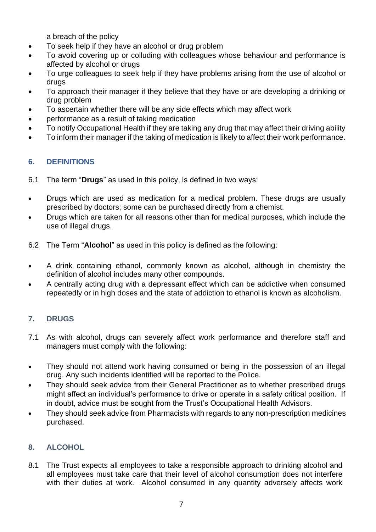a breach of the policy

- To seek help if they have an alcohol or drug problem
- To avoid covering up or colluding with colleagues whose behaviour and performance is affected by alcohol or drugs
- To urge colleagues to seek help if they have problems arising from the use of alcohol or drugs
- To approach their manager if they believe that they have or are developing a drinking or drug problem
- To ascertain whether there will be any side effects which may affect work
- performance as a result of taking medication
- To notify Occupational Health if they are taking any drug that may affect their driving ability
- To inform their manager if the taking of medication is likely to affect their work performance.

# <span id="page-6-0"></span>**6. DEFINITIONS**

- 6.1 The term "**Drugs**" as used in this policy, is defined in two ways:
- Drugs which are used as medication for a medical problem. These drugs are usually prescribed by doctors; some can be purchased directly from a chemist.
- Drugs which are taken for all reasons other than for medical purposes, which include the use of illegal drugs.
- 6.2 The Term "**Alcohol**" as used in this policy is defined as the following:
- A drink containing ethanol, commonly known as alcohol, although in chemistry the definition of alcohol includes many other compounds.
- A centrally acting drug with a depressant effect which can be addictive when consumed repeatedly or in high doses and the state of addiction to ethanol is known as alcoholism.

# <span id="page-6-1"></span>**7. DRUGS**

- 7.1 As with alcohol, drugs can severely affect work performance and therefore staff and managers must comply with the following:
- They should not attend work having consumed or being in the possession of an illegal drug. Any such incidents identified will be reported to the Police.
- They should seek advice from their General Practitioner as to whether prescribed drugs might affect an individual's performance to drive or operate in a safety critical position. If in doubt, advice must be sought from the Trust's Occupational Health Advisors.
- They should seek advice from Pharmacists with regards to any non-prescription medicines purchased.

#### <span id="page-6-2"></span>**8. ALCOHOL**

8.1 The Trust expects all employees to take a responsible approach to drinking alcohol and all employees must take care that their level of alcohol consumption does not interfere with their duties at work. Alcohol consumed in any quantity adversely affects work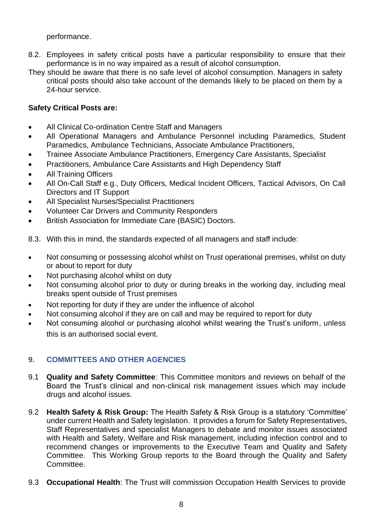performance.

- 8.2. Employees in safety critical posts have a particular responsibility to ensure that their performance is in no way impaired as a result of alcohol consumption.
- They should be aware that there is no safe level of alcohol consumption. Managers in safety critical posts should also take account of the demands likely to be placed on them by a 24-hour service.

# **Safety Critical Posts are:**

- All Clinical Co-ordination Centre Staff and Managers
- All Operational Managers and Ambulance Personnel including Paramedics, Student Paramedics, Ambulance Technicians, Associate Ambulance Practitioners,
- Trainee Associate Ambulance Practitioners, Emergency Care Assistants, Specialist
- Practitioners, Ambulance Care Assistants and High Dependency Staff
- All Training Officers
- All On-Call Staff e.g., Duty Officers, Medical Incident Officers, Tactical Advisors, On Call Directors and IT Support
- All Specialist Nurses/Specialist Practitioners
- Volunteer Car Drivers and Community Responders
- British Association for Immediate Care (BASIC) Doctors.
- 8.3. With this in mind, the standards expected of all managers and staff include:
- Not consuming or possessing alcohol whilst on Trust operational premises, whilst on duty or about to report for duty
- Not purchasing alcohol whilst on duty
- Not consuming alcohol prior to duty or during breaks in the working day, including meal breaks spent outside of Trust premises
- Not reporting for duty if they are under the influence of alcohol
- Not consuming alcohol if they are on call and may be required to report for duty
- Not consuming alcohol or purchasing alcohol whilst wearing the Trust's uniform, unless this is an authorised social event.

# <span id="page-7-0"></span>**9. COMMITTEES AND OTHER AGENCIES**

- 9.1 **Quality and Safety Committee**: This Committee monitors and reviews on behalf of the Board the Trust's clinical and non-clinical risk management issues which may include drugs and alcohol issues.
- 9.2 **Health Safety & Risk Group:** The Health Safety & Risk Group is a statutory 'Committee' under current Health and Safety legislation. It provides a forum for Safety Representatives, Staff Representatives and specialist Managers to debate and monitor issues associated with Health and Safety, Welfare and Risk management, including infection control and to recommend changes or improvements to the Executive Team and Quality and Safety Committee. This Working Group reports to the Board through the Quality and Safety Committee.
- 9.3 **Occupational Health**: The Trust will commission Occupation Health Services to provide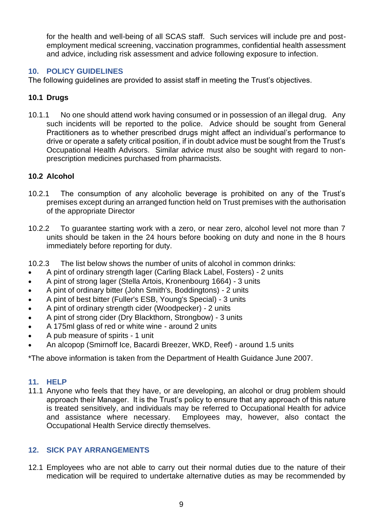for the health and well-being of all SCAS staff. Such services will include pre and postemployment medical screening, vaccination programmes, confidential health assessment and advice, including risk assessment and advice following exposure to infection.

# <span id="page-8-0"></span>**10. POLICY GUIDELINES**

The following guidelines are provided to assist staff in meeting the Trust's objectives.

#### **10.1 Drugs**

10.1.1 No one should attend work having consumed or in possession of an illegal drug. Any such incidents will be reported to the police. Advice should be sought from General Practitioners as to whether prescribed drugs might affect an individual's performance to drive or operate a safety critical position, if in doubt advice must be sought from the Trust's Occupational Health Advisors. Similar advice must also be sought with regard to nonprescription medicines purchased from pharmacists.

#### **10.2 Alcohol**

- 10.2.1 The consumption of any alcoholic beverage is prohibited on any of the Trust's premises except during an arranged function held on Trust premises with the authorisation of the appropriate Director
- 10.2.2 To guarantee starting work with a zero, or near zero, alcohol level not more than 7 units should be taken in the 24 hours before booking on duty and none in the 8 hours immediately before reporting for duty.
- 10.2.3 The list below shows the number of units of alcohol in common drinks:
- A pint of ordinary strength lager (Carling Black Label, Fosters) 2 units
- A pint of strong lager (Stella Artois, Kronenbourg 1664) 3 units
- A pint of ordinary bitter (John Smith's, Boddingtons) 2 units
- A pint of best bitter (Fuller's ESB, Young's Special) 3 units
- A pint of ordinary strength cider (Woodpecker) 2 units
- A pint of strong cider (Dry Blackthorn, Strongbow) 3 units
- A 175ml glass of red or white wine around 2 units
- A pub measure of spirits 1 unit
- An alcopop (Smirnoff Ice, Bacardi Breezer, WKD, Reef) around 1.5 units

\*The above information is taken from the Department of Health Guidance June 2007.

#### <span id="page-8-1"></span>**11. HELP**

11.1 Anyone who feels that they have, or are developing, an alcohol or drug problem should approach their Manager. It is the Trust's policy to ensure that any approach of this nature is treated sensitively, and individuals may be referred to Occupational Health for advice and assistance where necessary. Employees may, however, also contact the Occupational Health Service directly themselves.

#### <span id="page-8-2"></span>**12. SICK PAY ARRANGEMENTS**

12.1 Employees who are not able to carry out their normal duties due to the nature of their medication will be required to undertake alternative duties as may be recommended by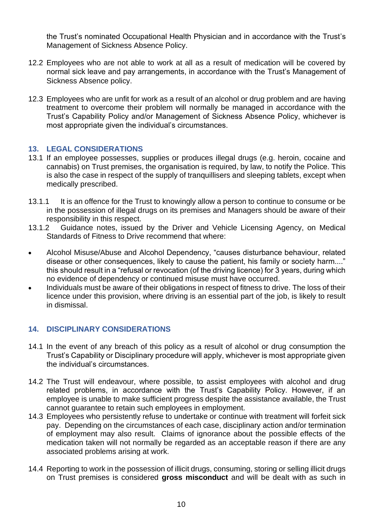the Trust's nominated Occupational Health Physician and in accordance with the Trust's Management of Sickness Absence Policy.

- 12.2 Employees who are not able to work at all as a result of medication will be covered by normal sick leave and pay arrangements, in accordance with the Trust's Management of Sickness Absence policy.
- 12.3 Employees who are unfit for work as a result of an alcohol or drug problem and are having treatment to overcome their problem will normally be managed in accordance with the Trust's Capability Policy and/or Management of Sickness Absence Policy, whichever is most appropriate given the individual's circumstances.

#### <span id="page-9-0"></span>**13. LEGAL CONSIDERATIONS**

- 13.1 If an employee possesses, supplies or produces illegal drugs (e.g. heroin, cocaine and cannabis) on Trust premises, the organisation is required, by law, to notify the Police. This is also the case in respect of the supply of tranquillisers and sleeping tablets, except when medically prescribed.
- 13.1.1 It is an offence for the Trust to knowingly allow a person to continue to consume or be in the possession of illegal drugs on its premises and Managers should be aware of their responsibility in this respect.
- 13.1.2 Guidance notes, issued by the Driver and Vehicle Licensing Agency, on Medical Standards of Fitness to Drive recommend that where:
- Alcohol Misuse/Abuse and Alcohol Dependency, "causes disturbance behaviour, related disease or other consequences, likely to cause the patient, his family or society harm...." this should result in a "refusal or revocation (of the driving licence) for 3 years, during which no evidence of dependency or continued misuse must have occurred.
- Individuals must be aware of their obligations in respect of fitness to drive. The loss of their licence under this provision, where driving is an essential part of the job, is likely to result in dismissal.

#### <span id="page-9-1"></span>**14. DISCIPLINARY CONSIDERATIONS**

- 14.1 In the event of any breach of this policy as a result of alcohol or drug consumption the Trust's Capability or Disciplinary procedure will apply, whichever is most appropriate given the individual's circumstances.
- 14.2 The Trust will endeavour, where possible, to assist employees with alcohol and drug related problems, in accordance with the Trust's Capability Policy. However, if an employee is unable to make sufficient progress despite the assistance available, the Trust cannot guarantee to retain such employees in employment.
- 14.3 Employees who persistently refuse to undertake or continue with treatment will forfeit sick pay. Depending on the circumstances of each case, disciplinary action and/or termination of employment may also result. Claims of ignorance about the possible effects of the medication taken will not normally be regarded as an acceptable reason if there are any associated problems arising at work.
- 14.4 Reporting to work in the possession of illicit drugs, consuming, storing or selling illicit drugs on Trust premises is considered **gross misconduct** and will be dealt with as such in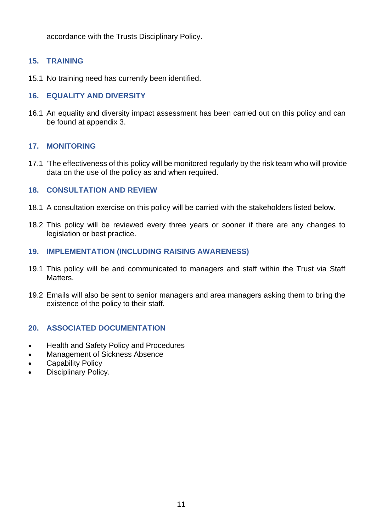accordance with the Trusts Disciplinary Policy.

#### <span id="page-10-0"></span>**15. TRAINING**

15.1 No training need has currently been identified.

# <span id="page-10-1"></span>**16. EQUALITY AND DIVERSITY**

16.1 An equality and diversity impact assessment has been carried out on this policy and can be found at appendix 3.

#### <span id="page-10-2"></span>**17. MONITORING**

17.1 'The effectiveness of this policy will be monitored regularly by the risk team who will provide data on the use of the policy as and when required.

#### <span id="page-10-3"></span>**18. CONSULTATION AND REVIEW**

- 18.1 A consultation exercise on this policy will be carried with the stakeholders listed below.
- 18.2 This policy will be reviewed every three years or sooner if there are any changes to legislation or best practice.

#### <span id="page-10-4"></span>**19. IMPLEMENTATION (INCLUDING RAISING AWARENESS)**

- 19.1 This policy will be and communicated to managers and staff within the Trust via Staff Matters.
- 19.2 Emails will also be sent to senior managers and area managers asking them to bring the existence of the policy to their staff.

#### <span id="page-10-5"></span>**20. ASSOCIATED DOCUMENTATION**

- Health and Safety Policy and Procedures
- Management of Sickness Absence
- Capability Policy
- Disciplinary Policy.